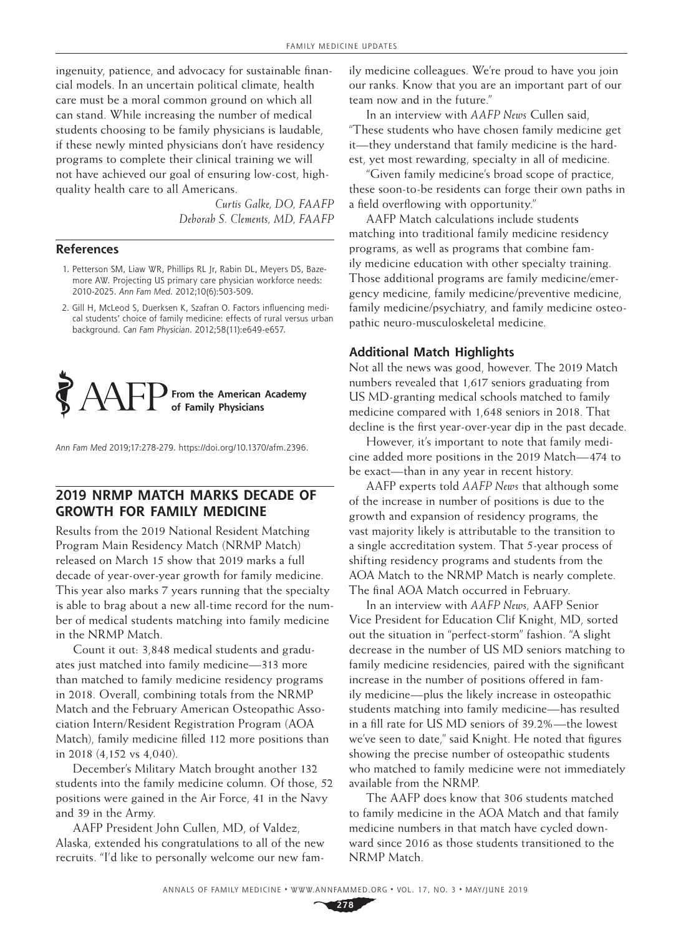ingenuity, patience, and advocacy for sustainable financial models. In an uncertain political climate, health care must be a moral common ground on which all can stand. While increasing the number of medical students choosing to be family physicians is laudable, if these newly minted physicians don't have residency programs to complete their clinical training we will not have achieved our goal of ensuring low-cost, highquality health care to all Americans.

> *Curtis Galke, DO, FAAFP Deborah S. Clements, MD, FAAFP*

### **References**

- 1. Petterson SM, Liaw WR, Phillips RL Jr, Rabin DL, Meyers DS, Bazemore AW. Projecting US primary care physician workforce needs: 2010-2025. *Ann Fam Med*. 2012;10(6):503-509.
- 2. Gill H, McLeod S, Duerksen K, Szafran O. Factors influencing medical students' choice of family medicine: effects of rural versus urban background. *Can Fam Physician*. 2012;58(11):e649-e657.



*Ann Fam Med* 2019;17:278-279.<https://doi.org/10.1370/afm.2396>.

# **2019 NRMP MATCH MARKS DECADE OF GROWTH FOR FAMILY MEDICINE**

Results from the 2019 National Resident Matching Program Main Residency Match (NRMP Match) released on March 15 show that 2019 marks a full decade of year-over-year growth for family medicine. This year also marks 7 years running that the specialty is able to brag about a new all-time record for the number of medical students matching into family medicine in the NRMP Match.

Count it out: 3,848 medical students and graduates just matched into family medicine—313 more than matched to family medicine residency programs in 2018. Overall, combining totals from the NRMP Match and the February American Osteopathic Association Intern/Resident Registration Program (AOA Match), family medicine filled 112 more positions than in 2018 (4,152 vs 4,040).

December's Military Match brought another 132 students into the family medicine column. Of those, 52 positions were gained in the Air Force, 41 in the Navy and 39 in the Army.

AAFP President John Cullen, MD, of Valdez, Alaska, extended his congratulations to all of the new recruits. "I'd like to personally welcome our new family medicine colleagues. We're proud to have you join our ranks. Know that you are an important part of our team now and in the future."

In an interview with *AAFP News* Cullen said, "These students who have chosen family medicine get it—they understand that family medicine is the hardest, yet most rewarding, specialty in all of medicine.

"Given family medicine's broad scope of practice, these soon-to-be residents can forge their own paths in a field overflowing with opportunity."

AAFP Match calculations include students matching into traditional family medicine residency programs, as well as programs that combine family medicine education with other specialty training. Those additional programs are family medicine/emergency medicine, family medicine/preventive medicine, family medicine/psychiatry, and family medicine osteopathic neuro-musculoskeletal medicine.

### **Additional Match Highlights**

Not all the news was good, however. The 2019 Match numbers revealed that 1,617 seniors graduating from US MD-granting medical schools matched to family medicine compared with 1,648 seniors in 2018. That decline is the first year-over-year dip in the past decade.

However, it's important to note that family medicine added more positions in the 2019 Match—474 to be exact—than in any year in recent history.

AAFP experts told *AAFP News* that although some of the increase in number of positions is due to the growth and expansion of residency programs, the vast majority likely is attributable to the transition to a single accreditation system. That 5-year process of shifting residency programs and students from the AOA Match to the NRMP Match is nearly complete. The final AOA Match occurred in February.

In an interview with *AAFP News,* AAFP Senior Vice President for Education Clif Knight, MD, sorted out the situation in "perfect-storm" fashion. "A slight decrease in the number of US MD seniors matching to family medicine residencies, paired with the significant increase in the number of positions offered in family medicine—plus the likely increase in osteopathic students matching into family medicine—has resulted in a fill rate for US MD seniors of 39.2%—the lowest we've seen to date," said Knight. He noted that figures showing the precise number of osteopathic students who matched to family medicine were not immediately available from the NRMP.

The AAFP does know that 306 students matched to family medicine in the AOA Match and that family medicine numbers in that match have cycled downward since 2016 as those students transitioned to the NRMP Match.